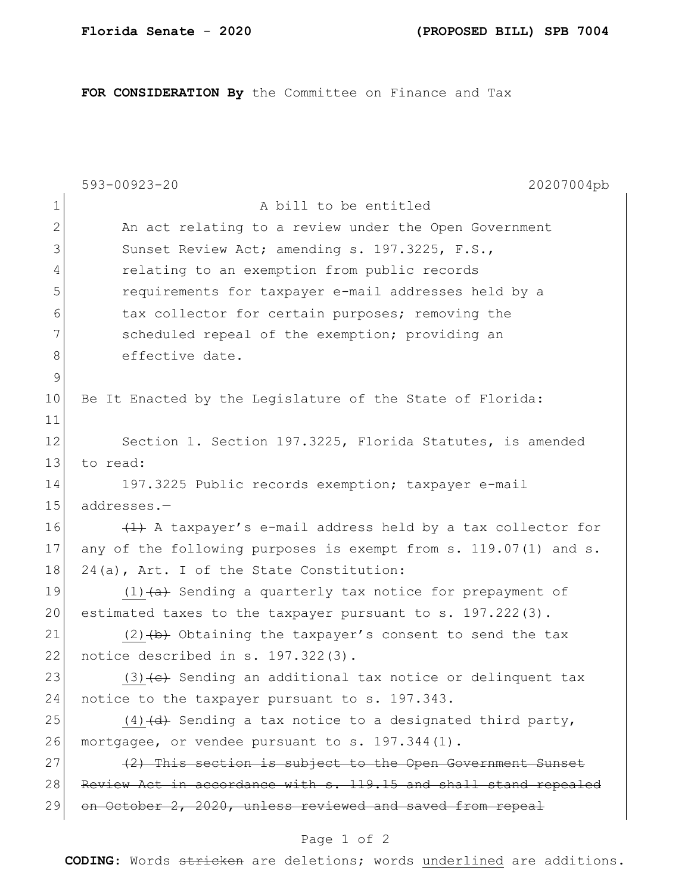**FOR CONSIDERATION By** the Committee on Finance and Tax

|              | 593-00923-20<br>20207004pb                                            |  |
|--------------|-----------------------------------------------------------------------|--|
| $\mathbf 1$  | A bill to be entitled                                                 |  |
| $\mathbf{2}$ | An act relating to a review under the Open Government                 |  |
| 3            | Sunset Review Act; amending s. 197.3225, F.S.,                        |  |
| 4            | relating to an exemption from public records                          |  |
| 5            | requirements for taxpayer e-mail addresses held by a                  |  |
| 6            | tax collector for certain purposes; removing the                      |  |
| 7            | scheduled repeal of the exemption; providing an                       |  |
| 8            | effective date.                                                       |  |
| $\mathsf 9$  |                                                                       |  |
| 10           | Be It Enacted by the Legislature of the State of Florida:             |  |
| 11           |                                                                       |  |
| 12           | Section 1. Section 197.3225, Florida Statutes, is amended             |  |
| 13           | to read:                                                              |  |
| 14           | 197.3225 Public records exemption; taxpayer e-mail                    |  |
| 15           | addresses.-                                                           |  |
| 16           | (1) A taxpayer's e-mail address held by a tax collector for           |  |
| 17           | any of the following purposes is exempt from s. 119.07(1) and s.      |  |
| 18           | 24(a), Art. I of the State Constitution:                              |  |
| 19           | $(1)$ $(a)$ Sending a quarterly tax notice for prepayment of          |  |
| 20           | estimated taxes to the taxpayer pursuant to s. 197.222(3).            |  |
| 21           | $(2)$ $(b)$ Obtaining the taxpayer's consent to send the tax          |  |
| 22           | notice described in s. 197.322(3).                                    |  |
| 23           | $(3)$ $\leftarrow$ Sending an additional tax notice or delinquent tax |  |
| 24           | notice to the taxpayer pursuant to s. 197.343.                        |  |
| 25           | $(4)$ +d+ Sending a tax notice to a designated third party,           |  |
| 26           | mortgagee, or vendee pursuant to s. 197.344(1).                       |  |
| 27           | (2) This section is subject to the Open Government Sunset             |  |
| 28           | Review Act in accordance with s. 119.15 and shall stand repealed      |  |
| 29           | on October 2, 2020, unless reviewed and saved from repeal             |  |
|              |                                                                       |  |

## Page 1 of 2

**CODING**: Words stricken are deletions; words underlined are additions.